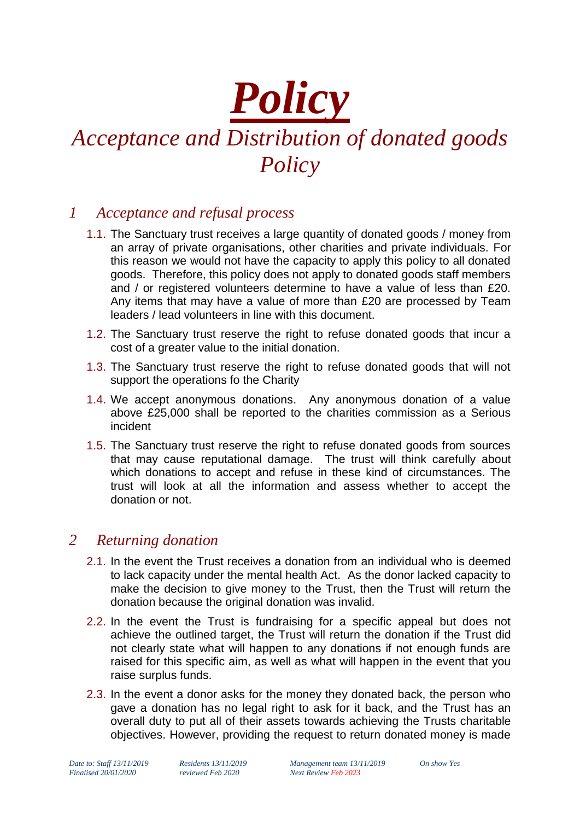# *Policy*

## *Acceptance and Distribution of donated goods Policy*

### *1 Acceptance and refusal process*

- 1.1. The Sanctuary trust receives a large quantity of donated goods / money from an array of private organisations, other charities and private individuals. For this reason we would not have the capacity to apply this policy to all donated goods. Therefore, this policy does not apply to donated goods staff members and / or registered volunteers determine to have a value of less than £20. Any items that may have a value of more than £20 are processed by Team leaders / lead volunteers in line with this document.
- 1.2. The Sanctuary trust reserve the right to refuse donated goods that incur a cost of a greater value to the initial donation.
- 1.3. The Sanctuary trust reserve the right to refuse donated goods that will not support the operations fo the Charity
- 1.4. We accept anonymous donations. Any anonymous donation of a value above £25,000 shall be reported to the charities commission as a Serious incident
- 1.5. The Sanctuary trust reserve the right to refuse donated goods from sources that may cause reputational damage. The trust will think carefully about which donations to accept and refuse in these kind of circumstances. The trust will look at all the information and assess whether to accept the donation or not.

#### *2 Returning donation*

- 2.1. In the event the Trust receives a donation from an individual who is deemed to lack capacity under the mental health Act. As the donor lacked capacity to make the decision to give money to the Trust, then the Trust will return the donation because the original donation was invalid.
- 2.2. In the event the Trust is fundraising for a specific appeal but does not achieve the outlined target, the Trust will return the donation if the Trust did not clearly state what will happen to any donations if not enough funds are raised for this specific aim, as well as what will happen in the event that you raise surplus funds.
- 2.3. In the event a donor asks for the money they donated back, the person who gave a donation has no legal right to ask for it back, and the Trust has an overall duty to put all of their assets towards achieving the Trusts charitable objectives. However, providing the request to return donated money is made